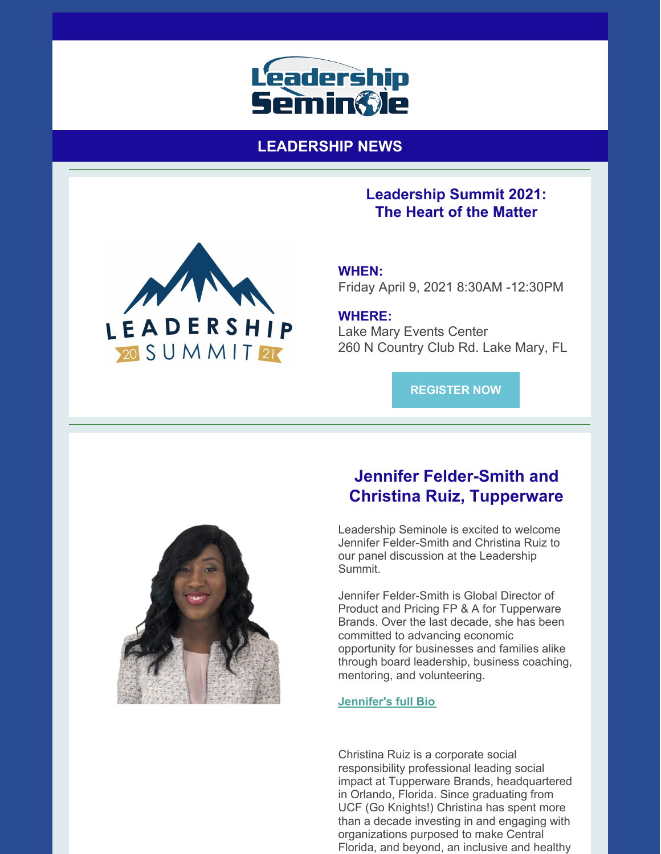

**LEADERSHIP NEWS**

# **WHEN:**

Friday April 9, 2021 8:30AM -12:30PM

**Leadership Summit 2021: The Heart of the Matter**

**WHERE:** Lake Mary Events Center 260 N Country Club Rd. Lake Mary, FL

**[REGISTER](https://leadershipseminole.org/event/summit/) NOW**



LEADERSHIP

20 SUMMIT 21

## **Jennifer Felder-Smith and Christina Ruiz, Tupperware**

Leadership Seminole is excited to welcome Jennifer Felder-Smith and Christina Ruiz to our panel discussion at the Leadership Summit.

Jennifer Felder-Smith is Global Director of Product and Pricing FP & A for Tupperware Brands. Over the last decade, she has been committed to advancing economic opportunity for businesses and families alike through board leadership, business coaching, mentoring, and volunteering.

#### **[Jennifer's](https://files.constantcontact.com/206c3f27be/2be64851-7a1b-46c6-bae5-a808b0417cde.pdf) full Bio**

Christina Ruiz is a corporate social responsibility professional leading social impact at Tupperware Brands, headquartered in Orlando, Florida. Since graduating from UCF (Go Knights!) Christina has spent more than a decade investing in and engaging with organizations purposed to make Central Florida, and beyond, an inclusive and healthy